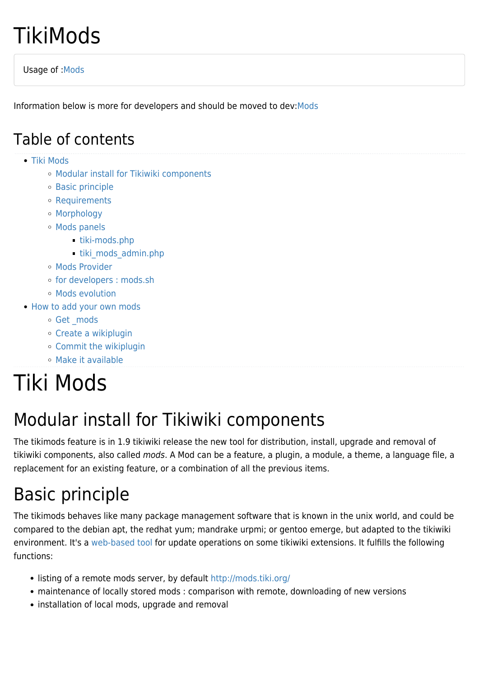# **TikiMods**

Usage of :[Mods](http://doc.tiki.org/tiki-index.php?page=Mods)

Information below is more for developers and should be moved to dev:[Mods](http://dev.tiki.org/Mods)

#### Table of contents

- [Tiki Mods](#page--1-0)
	- [Modular install for Tikiwiki components](#page--1-0)
	- [Basic principle](#page--1-0)
	- [Requirements](#page--1-0)
	- [Morphology](#page--1-0)
	- [Mods panels](#page--1-0)
		- [tiki-mods.php](#tiki-mods.php)
		- tiki mods admin.php
	- [Mods Provider](#page--1-0)
	- [for developers : mods.sh](#for_developers_:_mods.sh)
	- [Mods evolution](#page--1-0)
- [How to add your own mods](#page--1-0)
	- o Get mods
	- [Create a wikiplugin](#page--1-0)
	- [Commit the wikiplugin](#page--1-0)
	- [Make it available](#page--1-0)

# Tiki Mods

## Modular install for Tikiwiki components

The tikimods feature is in 1.9 tikiwiki release the new tool for distribution, install, upgrade and removal of tikiwiki components, also called mods. A Mod can be a feature, a plugin, a module, a theme, a language file, a replacement for an existing feature, or a combination of all the previous items.

## Basic principle

The tikimods behaves like many package management software that is known in the unix world, and could be compared to the debian apt, the redhat yum; mandrake urpmi; or gentoo emerge, but adapted to the tikiwiki environment. It's a [web-based tool](https://tiki.org/mods) for update operations on some tikiwiki extensions. It fulfills the following functions:

- listing of a remote mods server, by default<http://mods.tiki.org/>
- maintenance of locally stored mods : comparison with remote, downloading of new versions
- installation of local mods, upgrade and removal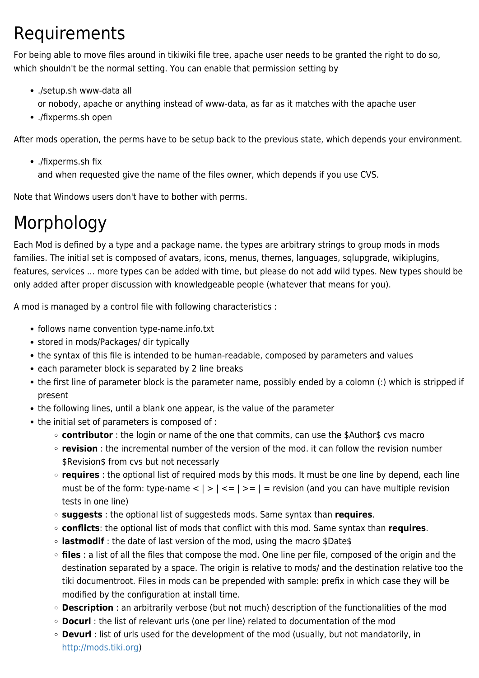## Requirements

For being able to move files around in tikiwiki file tree, apache user needs to be granted the right to do so, which shouldn't be the normal setting. You can enable that permission setting by

- ./setup.sh www-data all or nobody, apache or anything instead of www-data, as far as it matches with the apache user
- ./fixperms.sh open

After mods operation, the perms have to be setup back to the previous state, which depends your environment.

./fixperms.sh fix

and when requested give the name of the files owner, which depends if you use CVS.

Note that Windows users don't have to bother with perms.

## Morphology

Each Mod is defined by a type and a package name. the types are arbitrary strings to group mods in mods families. The initial set is composed of avatars, icons, menus, themes, languages, sqlupgrade, wikiplugins, features, services ... more types can be added with time, but please do not add wild types. New types should be only added after proper discussion with knowledgeable people (whatever that means for you).

A mod is managed by a control file with following characteristics :

- follows name convention type-name.info.txt
- stored in mods/Packages/ dir typically
- the syntax of this file is intended to be human-readable, composed by parameters and values
- each parameter block is separated by 2 line breaks
- the first line of parameter block is the parameter name, possibly ended by a colomn (:) which is stripped if present
- the following lines, until a blank one appear, is the value of the parameter
- the initial set of parameters is composed of :
	- **contributor** : the login or name of the one that commits, can use the \$Author\$ cvs macro
	- **revision** : the incremental number of the version of the mod. it can follow the revision number \$Revision\$ from cvs but not necessarly
	- **requires** : the optional list of required mods by this mods. It must be one line by depend, each line must be of the form: type-name  $\langle | \rangle$  =  $\langle | \rangle$  = | = revision (and you can have multiple revision tests in one line)
	- **suggests** : the optional list of suggesteds mods. Same syntax than **requires**.
	- **conflicts**: the optional list of mods that conflict with this mod. Same syntax than **requires**.
	- **lastmodif** : the date of last version of the mod, using the macro \$Date\$
	- **files** : a list of all the files that compose the mod. One line per file, composed of the origin and the destination separated by a space. The origin is relative to mods/ and the destination relative too the tiki documentroot. Files in mods can be prepended with sample: prefix in which case they will be modified by the configuration at install time.
	- **Description** : an arbitrarily verbose (but not much) description of the functionalities of the mod
	- **Docurl** : the list of relevant urls (one per line) related to documentation of the mod
	- **Devurl** : list of urls used for the development of the mod (usually, but not mandatorily, in <http://mods.tiki.org>)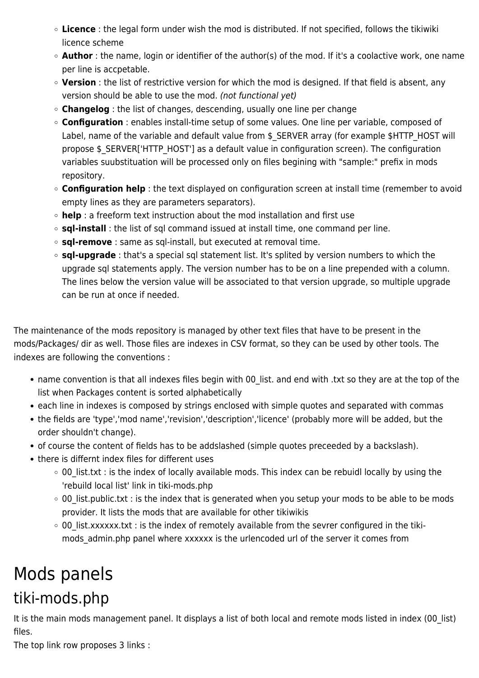- **Licence** : the legal form under wish the mod is distributed. If not specified, follows the tikiwiki licence scheme
- **Author** : the name, login or identifier of the author(s) of the mod. If it's a coolactive work, one name per line is accpetable.
- **Version** : the list of restrictive version for which the mod is designed. If that field is absent, any version should be able to use the mod. (not functional yet)
- **Changelog** : the list of changes, descending, usually one line per change
- **Configuration** : enables install-time setup of some values. One line per variable, composed of Label, name of the variable and default value from \$\_SERVER array (for example \$HTTP\_HOST will propose \$\_SERVER['HTTP\_HOST'] as a default value in configuration screen). The configuration variables suubstituation will be processed only on files begining with "sample:" prefix in mods repository.
- **Configuration help** : the text displayed on configuration screen at install time (remember to avoid empty lines as they are parameters separators).
- **help** : a freeform text instruction about the mod installation and first use
- **sql-install** : the list of sql command issued at install time, one command per line.
- **sql-remove** : same as sql-install, but executed at removal time.
- **sql-upgrade** : that's a special sql statement list. It's splited by version numbers to which the upgrade sql statements apply. The version number has to be on a line prepended with a column. The lines below the version value will be associated to that version upgrade, so multiple upgrade can be run at once if needed.

The maintenance of the mods repository is managed by other text files that have to be present in the mods/Packages/ dir as well. Those files are indexes in CSV format, so they can be used by other tools. The indexes are following the conventions :

- name convention is that all indexes files begin with 00 list. and end with .txt so they are at the top of the list when Packages content is sorted alphabetically
- each line in indexes is composed by strings enclosed with simple quotes and separated with commas
- the fields are 'type','mod name','revision','description','licence' (probably more will be added, but the order shouldn't change).
- of course the content of fields has to be addslashed (simple quotes preceeded by a backslash).
- there is differnt index files for different uses
	- 00 list.txt : is the index of locally available mods. This index can be rebuidl locally by using the 'rebuild local list' link in tiki-mods.php
	- 00\_list.public.txt : is the index that is generated when you setup your mods to be able to be mods provider. It lists the mods that are available for other tikiwikis
	- $\circ$  00 list.xxxxxx.txt : is the index of remotely available from the sevrer configured in the tikimods admin.php panel where xxxxxx is the urlencoded url of the server it comes from

## Mods panels tiki-mods.php

It is the main mods management panel. It displays a list of both local and remote mods listed in index (00\_list) files.

The top link row proposes 3 links :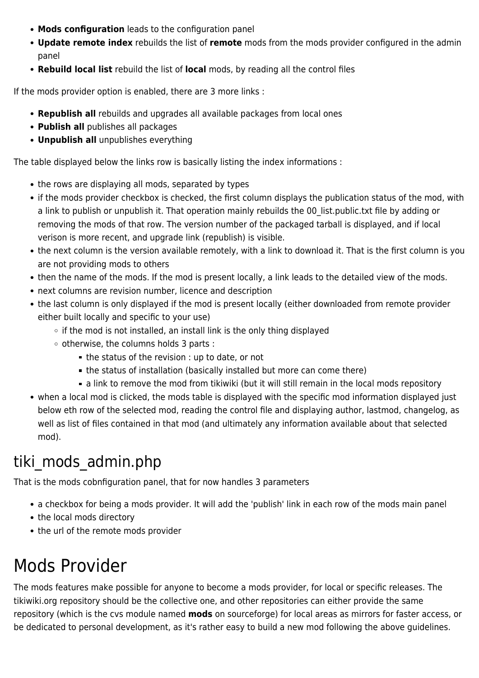- **Mods configuration** leads to the configuration panel
- **Update remote index** rebuilds the list of **remote** mods from the mods provider configured in the admin panel
- **Rebuild local list** rebuild the list of **local** mods, by reading all the control files

If the mods provider option is enabled, there are 3 more links :

- **Republish all** rebuilds and upgrades all available packages from local ones
- **Publish all** publishes all packages
- **Unpublish all** unpublishes everything

The table displayed below the links row is basically listing the index informations :

- the rows are displaying all mods, separated by types
- if the mods provider checkbox is checked, the first column displays the publication status of the mod, with a link to publish or unpublish it. That operation mainly rebuilds the 00 list.public.txt file by adding or removing the mods of that row. The version number of the packaged tarball is displayed, and if local verison is more recent, and upgrade link (republish) is visible.
- the next column is the version available remotely, with a link to download it. That is the first column is you are not providing mods to others
- then the name of the mods. If the mod is present locally, a link leads to the detailed view of the mods.
- next columns are revision number, licence and description
- the last column is only displayed if the mod is present locally (either downloaded from remote provider either built locally and specific to your use)
	- $\circ$  if the mod is not installed, an install link is the only thing displayed
	- $\circ$  otherwise, the columns holds 3 parts :
		- $\blacksquare$  the status of the revision : up to date, or not
		- the status of installation (basically installed but more can come there)
		- a link to remove the mod from tikiwiki (but it will still remain in the local mods repository
- when a local mod is clicked, the mods table is displayed with the specific mod information displayed just below eth row of the selected mod, reading the control file and displaying author, lastmod, changelog, as well as list of files contained in that mod (and ultimately any information available about that selected mod).

## tiki mods admin.php

That is the mods cobnfiguration panel, that for now handles 3 parameters

- a checkbox for being a mods provider. It will add the 'publish' link in each row of the mods main panel
- the local mods directory
- the url of the remote mods provider

## Mods Provider

The mods features make possible for anyone to become a mods provider, for local or specific releases. The tikiwiki.org repository should be the collective one, and other repositories can either provide the same repository (which is the cvs module named **mods** on sourceforge) for local areas as mirrors for faster access, or be dedicated to personal development, as it's rather easy to build a new mod following the above guidelines.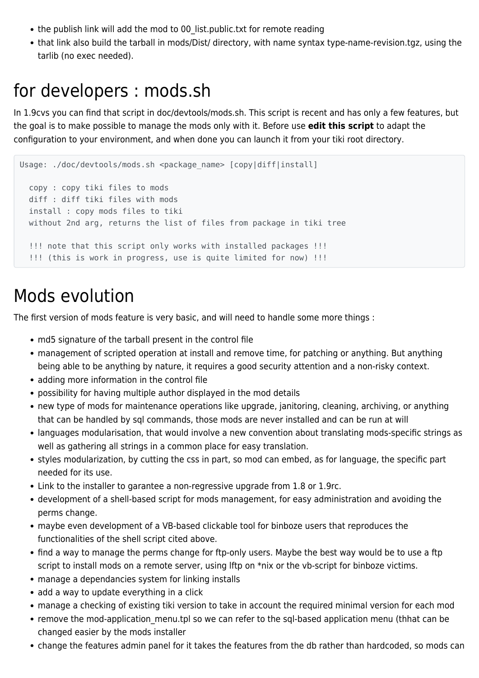- the publish link will add the mod to 00\_list.public.txt for remote reading
- that link also build the tarball in mods/Dist/ directory, with name syntax type-name-revision.tgz, using the tarlib (no exec needed).

#### for developers : mods.sh

In 1.9cvs you can find that script in doc/devtools/mods.sh. This script is recent and has only a few features, but the goal is to make possible to manage the mods only with it. Before use **edit this script** to adapt the configuration to your environment, and when done you can launch it from your tiki root directory.

```
Usage: ./doc/devtools/mods.sh <package_name> [copy|diff|install]
   copy : copy tiki files to mods
   diff : diff tiki files with mods
   install : copy mods files to tiki
   without 2nd arg, returns the list of files from package in tiki tree
   !!! note that this script only works with installed packages !!!
   !!! (this is work in progress, use is quite limited for now) !!!
```
## Mods evolution

The first version of mods feature is very basic, and will need to handle some more things :

- md5 signature of the tarball present in the control file
- management of scripted operation at install and remove time, for patching or anything. But anything being able to be anything by nature, it requires a good security attention and a non-risky context.
- adding more information in the control file
- possibility for having multiple author displayed in the mod details
- new type of mods for maintenance operations like upgrade, janitoring, cleaning, archiving, or anything that can be handled by sql commands, those mods are never installed and can be run at will
- languages modularisation, that would involve a new convention about translating mods-specific strings as well as gathering all strings in a common place for easy translation.
- styles modularization, by cutting the css in part, so mod can embed, as for language, the specific part needed for its use.
- Link to the installer to garantee a non-regressive upgrade from 1.8 or 1.9rc.
- development of a shell-based script for mods management, for easy administration and avoiding the perms change.
- maybe even development of a VB-based clickable tool for binboze users that reproduces the functionalities of the shell script cited above.
- find a way to manage the perms change for ftp-only users. Maybe the best way would be to use a ftp script to install mods on a remote server, using lftp on \*nix or the vb-script for binboze victims.
- manage a dependancies system for linking installs
- add a way to update everything in a click
- manage a checking of existing tiki version to take in account the required minimal version for each mod
- remove the mod-application menu.tpl so we can refer to the sql-based application menu (thhat can be changed easier by the mods installer
- change the features admin panel for it takes the features from the db rather than hardcoded, so mods can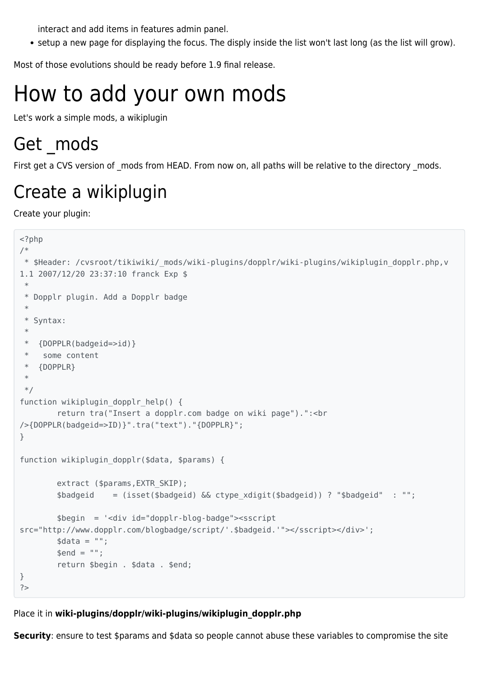interact and add items in features admin panel.

setup a new page for displaying the focus. The disply inside the list won't last long (as the list will grow).

Most of those evolutions should be ready before 1.9 final release.

# How to add your own mods

Let's work a simple mods, a wikiplugin

## Get mods

First get a CVS version of mods from HEAD. From now on, all paths will be relative to the directory mods.

## Create a wikiplugin

Create your plugin:

```
<?php
/*
 * $Header: /cvsroot/tikiwiki/_mods/wiki-plugins/dopplr/wiki-plugins/wikiplugin_dopplr.php,v
1.1 2007/12/20 23:37:10 franck Exp $
 *
  * Dopplr plugin. Add a Dopplr badge
  *
  * Syntax:
  *
  * {DOPPLR(badgeid=>id)}
  * some content
  * {DOPPLR}
  *
 */
function wikiplugin dopplr help() {
         return tra("Insert a dopplr.com badge on wiki page").":<br
/>{DOPPLR(badgeid=>ID)}".tra("text")."{DOPPLR}";
}
function wikiplugin dopplr($data, $params) {
        extract ($params, EXTR SKIP);
        $badgeid = (isset($badgeid) && ctype xdigit($badgeid)) ? "$badgeid" : "";
         $begin = '<div id="dopplr-blog-badge"><sscript
src="http://www.dopplr.com/blogbadge/script/'.$badgeid.'"></sscript></div>';
        \text{6}data = "";
        \text{Send} = " " return $begin . $data . $end;
}
?>
```
#### Place it in **wiki-plugins/dopplr/wiki-plugins/wikiplugin\_dopplr.php**

**Security**: ensure to test \$params and \$data so people cannot abuse these variables to compromise the site